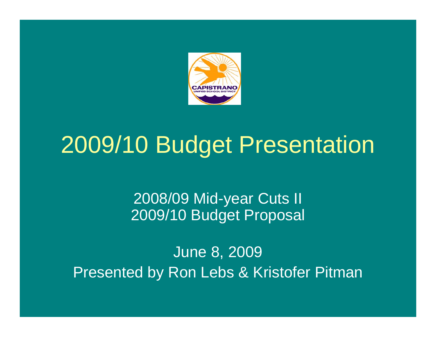

## 2009/10 Budget Presentation

#### 2008/09 Mid-year Cuts II 2009/10 Budget Proposal

June 8, 2009 Presented by Ron Lebs & Kristofer Pitman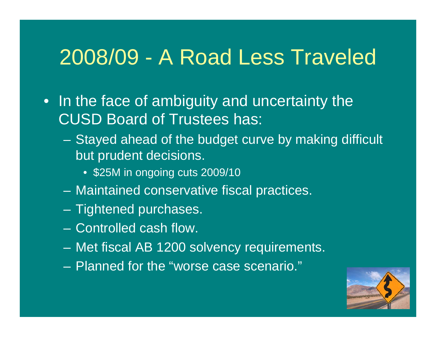#### 2008/09 - A Road Less Traveled

- In the face of ambiguity and uncertainty the CUSD Board of Trustees has:
	- Stayed ahead of the budget curve by making difficult but prudent decisions.
		- \$25M in ongoing cuts 2009/10
	- Maintained conservative fiscal practices.
	- Tightened purchases.
	- Controlled cash flow.
	- Met fiscal AB 1200 solvency requirements.
	- Planned for the "worse case scenario."

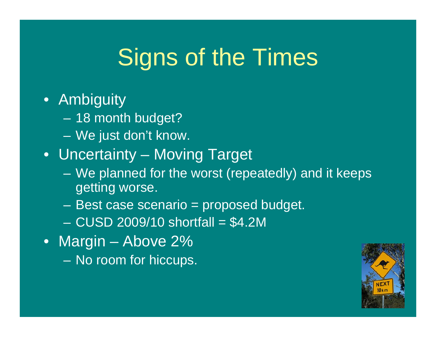# Signs of the Times

#### • Ambiguity

- 18 month budget?
- We just don't know.
- Uncertainty Moving Target
	- We planned for the worst (repeatedly) and it keeps getting worse.
	- Best case scenario = proposed budget.
	- $-$  CUSD 2009/10 shortfall  $= $4.2M$
- Margin Above 2%
	- No room for hiccups.

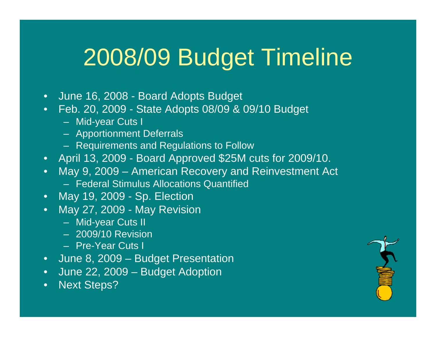# 2008/09 Budget Timeline

- June 16, 2008 Board Adopts Budget
- Feb. 20, 2009 State Adopts 08/09 & 09/10 Budget
	- Mid-year Cuts I
	- Apportionment Deferrals
	- Requirements and Regulations to Follow
- April 13, 2009 Board Approved \$25M cuts for 2009/10.
- May 9, 2009 American Recovery and Reinvestment Act
	- Federal Stimulus Allocations Quantified
- May 19, 2009 Sp. Election
- May 27, 2009 May Revision
	- Mid-year Cuts II
	- 2009/10 Revision
	- Pre-Year Cuts I
- June 8, 2009 Budget Presentation
- June 22, 2009 Budget Adoption
- Next Steps?

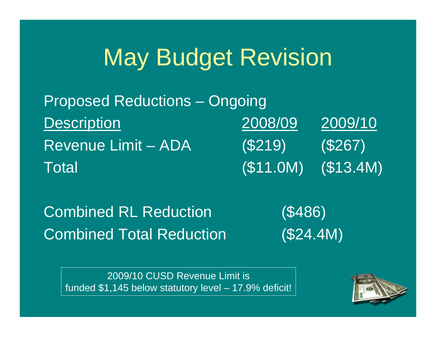## May Budget Revision

| <b>Proposed Reductions - Ongoing</b> |          |          |
|--------------------------------------|----------|----------|
| <b>Description</b>                   | 2008/09  | 2009/10  |
| <b>Revenue Limit - ADA</b>           | (S219)   | (S267)   |
| Total                                | (S11.0M) | (S13.4M) |

Combined RL Reduction (\$486) Combined Total Reduction (\$24.4M)

2009/10 CUSD Revenue Limit is funded \$1,145 below statutory level – 17.9% deficit!

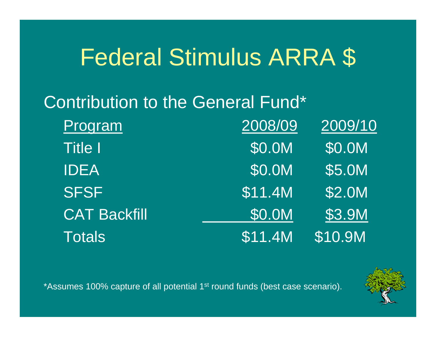## Federal Stimulus ARRA \$

#### Contribution to the General Fund\*

| Program             | 2008/09                     | 2009/10 |
|---------------------|-----------------------------|---------|
| <b>Title I</b>      | \$0.0M                      | \$0.0M  |
| <b>IDEA</b>         | \$0.0M                      | \$5.0M  |
| <b>SFSF</b>         | $\overline{\$11.4M}$        | \$2.0M  |
| <b>CAT Backfill</b> | \$0.0M                      | \$3.9M  |
| <b>Totals</b>       | $\overline{\text{S11}}$ .4M | \$10.9M |

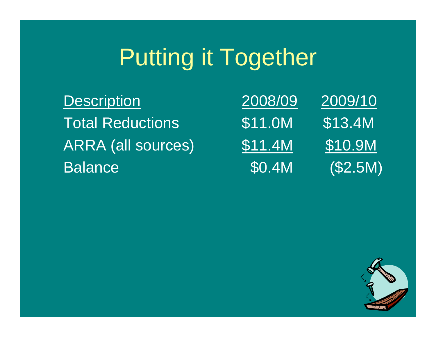# Putting it Together

**Description Total Reductions** ARRA (all sources) **Balance** 

| 2008/09 | 2009/10 |
|---------|---------|
| \$11.0M | \$13.4M |
| \$11.4M | \$10.9M |
| \$0.4M  | (S2.5M) |

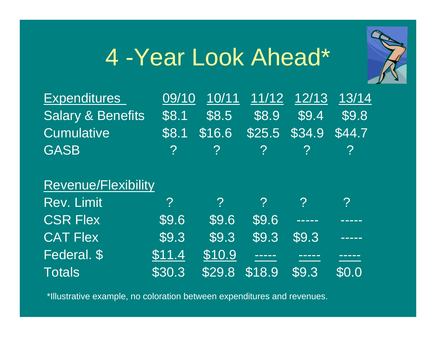## 4 -Year Look Ahead\*



| <b>Expenditures</b>          | 09/10 10/11 11/12 12/13 13/14                                         |  |  |
|------------------------------|-----------------------------------------------------------------------|--|--|
| <b>Salary &amp; Benefits</b> | $\sqrt{58.1}$ $\sqrt{58.5}$ $\sqrt{58.9}$ $\sqrt{59.4}$ $\sqrt{59.8}$ |  |  |
| <b>Cumulative</b>            | \$8.1 \$16.6 \$25.5 \$34.9 \$44.7                                     |  |  |
| <b>GASB</b>                  | $\begin{array}{ccccccccc}\n2 & 2 & 2 & 2 & 2\n\end{array}$            |  |  |
|                              |                                                                       |  |  |
|                              |                                                                       |  |  |

#### Revenue/Flexibility

| <b>Rev. Limit</b> | $\mathcal{P}$ |               |                 |                             |        |
|-------------------|---------------|---------------|-----------------|-----------------------------|--------|
| <b>CSR Flex</b>   | \$9.6         | \$9.6         | \$9.6           | <b>CONTINUES</b>            |        |
| <b>CAT Flex</b>   | \$9.3         | $\sqrt{59.3}$ |                 | $\sqrt{59.3}$ $\sqrt{59.3}$ | -----  |
| Federal. \$       | \$11.4        | \$10.9        | <u>is se se</u> |                             | ______ |
| <b>Totals</b>     | \$30.3        |               | $S29.8$ $S18.9$ | \$9.3                       | \$0.0  |

\*Illustrative example, no coloration between expenditures and revenues.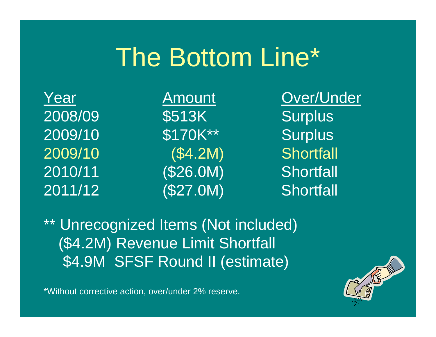# The Bottom Line\*

2008/09 \$513K Surplus 2009/10 \$170K\*\* Surplus 2009/10 (\$4.2M) Shortfall 2010/11 (\$26.0M) Shortfall 2011/12 (\$27.0M) Shortfall

Year Amount Over/Under

\*\* Unrecognized Items (Not included) (\$4.2M) Revenue Limit Shortfall \$4.9M SFSF Round II (estimate)

\*Without corrective action, over/under 2% reserve.

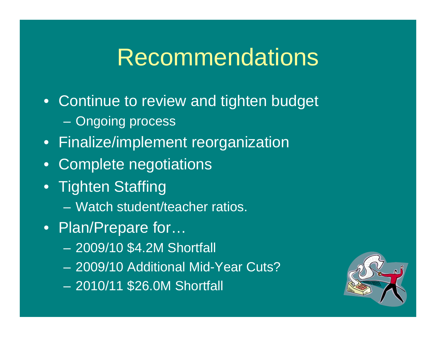#### Recommendations

- Continue to review and tighten budget – Ongoing process
- Finalize/implement reorganization
- Complete negotiations
- Tighten Staffing
	- Watch student/teacher ratios.
- Plan/Prepare for...
	- 2009/10 \$4.2M Shortfall
	- 2009/10 Additional Mid-Year Cuts?
	- 2010/11 \$26.0M Shortfall

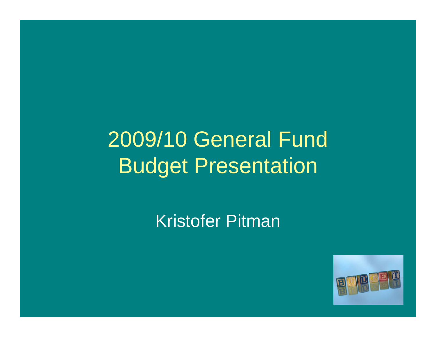#### 2009/10 General Fund Budget Presentation

Kristofer Pitman

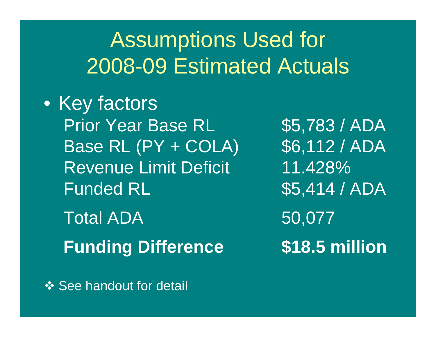#### Assumptions Used for 2008-09 Estimated Actuals

• Key factors Prior Year Base RL 55,783 / ADA Base RL (PY + COLA) \$6,112 / ADA Revenue Limit Deficit 11.428% Funded RL 35,414 / ADA

Total ADA 50,077 **Funding Difference \$18.5 million**

**❖ See handout for detail**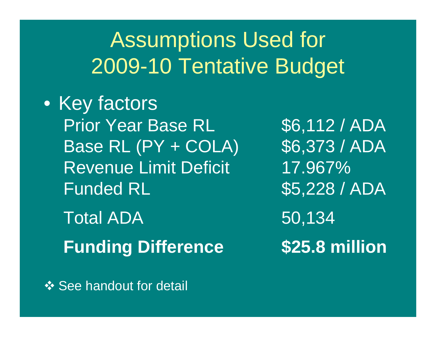#### Assumptions Used for 2009-10 Tentative Budget

• Key factors Prior Year Base RL 56,112 / ADA Base RL (PY + COLA) \$6,373 / ADA Revenue Limit Deficit 17.967% Funded RL 35,228 / ADA

Total ADA 50,134 **Funding Difference \$25.8 million**

**❖ See handout for detail**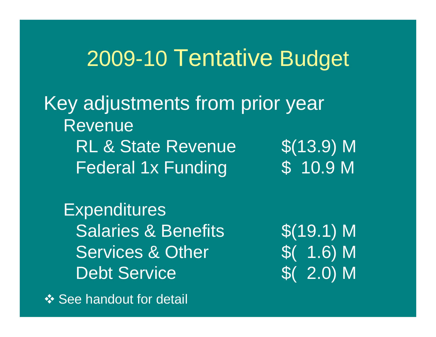#### 2009-10 Tentative Budget

Key adjustments from prior year RevenueRL & State Revenue  $\sim$  \$(13.9) M Federal 1x Funding  $\overline{ }$  \$ 10.9 M

**Expenditures** Salaries & Benefits  $$(19.1)$  M Services & Other 5(1.6) M Debt Service  $\text{S}(2.0) \text{M}$ 

**❖ See handout for detail**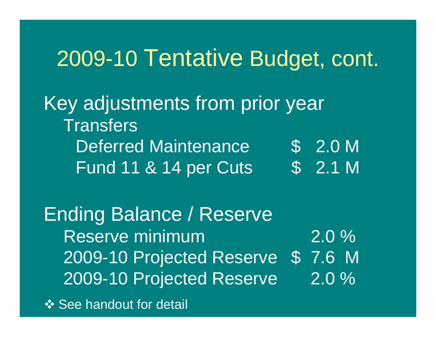#### 2009-10 Tentative Budget, cont.

Key adjustments from prior year **Transfers** Deferred Maintenance  $$ 2.0 M$ Fund 11 & 14 per Cuts \$ 2.1 M

Ending Balance / Reserve Reserve minimum 2.0 % 2009-10 Projected Reserve \$ 7.6 M 2009-10 Projected Reserve 2.0 % **❖ See handout for detail**